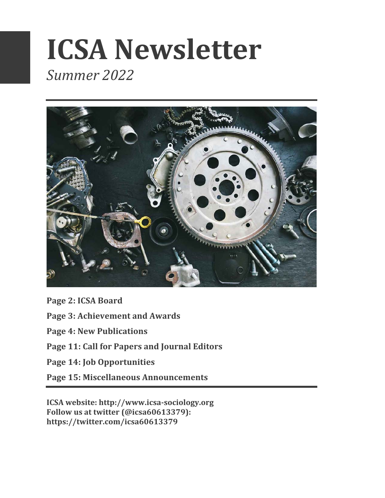# **ICSA Newsletter** *Summer 2022*



Page 2: ICSA Board

**Page 3: Achievement and Awards** 

**Page 4: New Publications**

Page 11: Call for Papers and Journal Editors

Page 14: Job Opportunities

**Page 15: Miscellaneous Announcements**

**ICSA website: http://www.icsa-sociology.org** Follow us at twitter (@icsa60613379): **https://twitter.com/icsa60613379**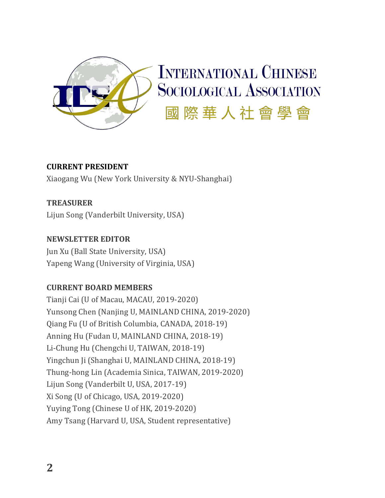

#### **CURRENT PRESIDENT**

Xiaogang Wu (New York University & NYU-Shanghai)

#### **TREASURER**

Lijun Song (Vanderbilt University, USA)

#### **NEWSLETTER EDITOR**

Jun Xu (Ball State University, USA) Yapeng Wang (University of Virginia, USA)

#### **CURRENT BOARD MEMBERS**

Tianji Cai (U of Macau, MACAU, 2019-2020) Yunsong Chen (Nanjing U, MAINLAND CHINA, 2019-2020) Qiang Fu (U of British Columbia, CANADA, 2018-19) Anning Hu (Fudan U, MAINLAND CHINA, 2018-19) Li-Chung Hu (Chengchi U, TAIWAN, 2018-19) Yingchun Ji (Shanghai U, MAINLAND CHINA, 2018-19) Thung-hong Lin (Academia Sinica, TAIWAN, 2019-2020) Lijun Song (Vanderbilt U, USA, 2017-19) Xi Song (U of Chicago, USA, 2019-2020) Yuying Tong (Chinese U of HK, 2019-2020) Amy Tsang (Harvard U, USA, Student representative)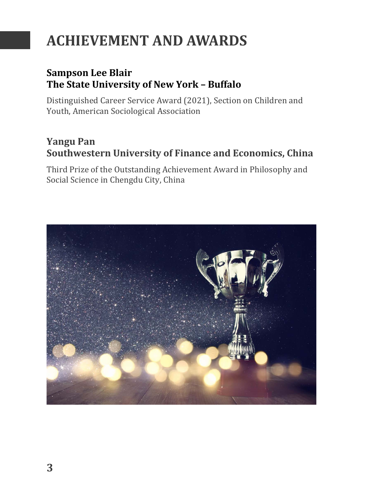# **ACHIEVEMENT AND AWARDS**

#### **Sampson Lee Blair The State University of New York – Buffalo**

Distinguished Career Service Award (2021), Section on Children and Youth, American Sociological Association

#### **Yangu Pan** Southwestern University of Finance and Economics, China

Third Prize of the Outstanding Achievement Award in Philosophy and Social Science in Chengdu City, China

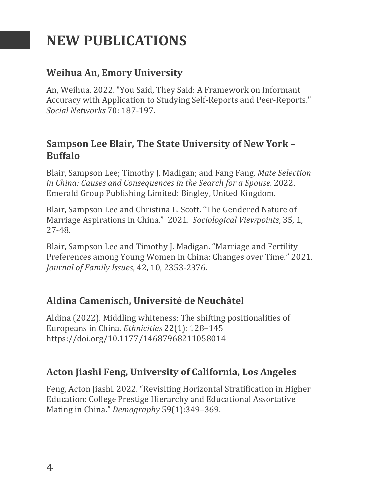## **NEW PUBLICATIONS**

#### **Weihua An, Emory University**

An, Weihua. 2022. "You Said, They Said: A Framework on Informant Accuracy with Application to Studying Self-Reports and Peer-Reports." *Social Networks* 70: 187-197.

#### **Sampson Lee Blair, The State University of New York -Buffalo**

Blair, Sampson Lee; Timothy J. Madigan; and Fang Fang. Mate Selection in China: Causes and Consequences in the Search for a Spouse. 2022. Emerald Group Publishing Limited: Bingley, United Kingdom.

Blair, Sampson Lee and Christina L. Scott. "The Gendered Nature of Marriage Aspirations in China." 2021. Sociological Viewpoints, 35, 1, 27-48.

Blair, Sampson Lee and Timothy J. Madigan. "Marriage and Fertility Preferences among Young Women in China: Changes over Time." 2021. *Journal of Family Issues*, 42, 10, 2353-2376. 

#### **Aldina Camenisch, Université de Neuchâtel**

Aldina (2022). Middling whiteness: The shifting positionalities of Europeans in China. *Ethnicities* 22(1): 128-145 https://doi.org/10.1177/14687968211058014

#### **Acton Jiashi Feng, University of California, Los Angeles**

Feng, Acton Jiashi. 2022. "Revisiting Horizontal Stratification in Higher Education: College Prestige Hierarchy and Educational Assortative Mating in China." *Demography* 59(1):349-369.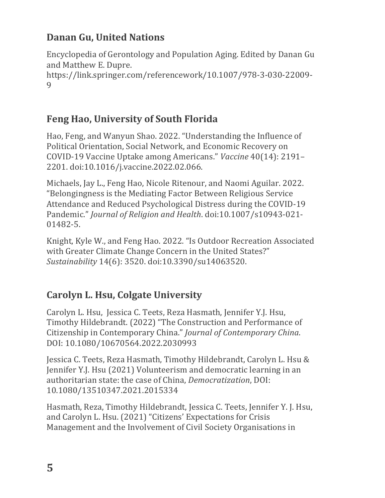### **Danan Gu, United Nations**

Encyclopedia of Gerontology and Population Aging. Edited by Danan Gu and Matthew E. Dupre. https://link.springer.com/referencework/10.1007/978-3-030-22009- 9

### **Feng Hao, University of South Florida**

Hao, Feng, and Wanyun Shao. 2022. "Understanding the Influence of Political Orientation, Social Network, and Economic Recovery on COVID-19 Vaccine Uptake among Americans." *Vaccine* 40(14): 2191– 2201. doi:10.1016/j.vaccine.2022.02.066.

Michaels, Jay L., Feng Hao, Nicole Ritenour, and Naomi Aguilar. 2022. "Belongingness is the Mediating Factor Between Religious Service Attendance and Reduced Psychological Distress during the COVID-19 Pandemic." *Journal of Religion and Health.* doi:10.1007/s10943-021-01482-5. 

Knight, Kyle W., and Feng Hao. 2022. "Is Outdoor Recreation Associated with Greater Climate Change Concern in the United States?" *Sustainability* 14(6): 3520. doi:10.3390/su14063520.

### **Carolyn L. Hsu, Colgate University**

Carolyn L. Hsu, Jessica C. Teets, Reza Hasmath, Jennifer Y.J. Hsu, Timothy Hildebrandt. (2022) "The Construction and Performance of Citizenship in Contemporary China." *Journal of Contemporary China*. DOI: 10.1080/10670564.2022.2030993

Jessica C. Teets, Reza Hasmath, Timothy Hildebrandt, Carolyn L. Hsu & Jennifer Y.J. Hsu (2021) Volunteerism and democratic learning in an authoritarian state: the case of China, *Democratization*, DOI: 10.1080/13510347.2021.2015334 

Hasmath, Reza, Timothy Hildebrandt, Jessica C. Teets, Jennifer Y. J. Hsu, and Carolyn L. Hsu. (2021) "Citizens' Expectations for Crisis Management and the Involvement of Civil Society Organisations in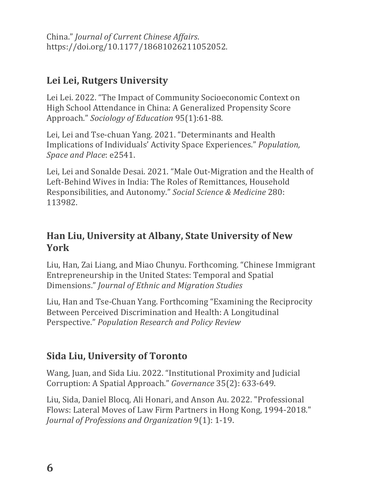China." *Journal of Current Chinese Affairs*. https://doi.org/10.1177/18681026211052052.

#### Lei Lei, Rutgers University

Lei Lei. 2022. "The Impact of Community Socioeconomic Context on High School Attendance in China: A Generalized Propensity Score Approach." *Sociology of Education* 95(1):61-88.

Lei, Lei and Tse-chuan Yang. 2021. "Determinants and Health Implications of Individuals' Activity Space Experiences." *Population*, *Space and Place*: e2541.

Lei, Lei and Sonalde Desai. 2021. "Male Out-Migration and the Health of Left-Behind Wives in India: The Roles of Remittances, Household Responsibilities, and Autonomy." Social Science & Medicine 280: 113982.

#### **Han Liu, University at Albany, State University of New York**

Liu, Han, Zai Liang, and Miao Chunyu. Forthcoming. "Chinese Immigrant Entrepreneurship in the United States: Temporal and Spatial Dimensions." *Journal of Ethnic and Migration Studies*

Liu, Han and Tse-Chuan Yang. Forthcoming "Examining the Reciprocity" Between Perceived Discrimination and Health: A Longitudinal Perspective." *Population Research and Policy Review*

#### **Sida Liu, University of Toronto**

Wang, Juan, and Sida Liu. 2022. "Institutional Proximity and Judicial Corruption: A Spatial Approach." *Governance* 35(2): 633-649. 

Liu, Sida, Daniel Blocq, Ali Honari, and Anson Au. 2022. "Professional Flows: Lateral Moves of Law Firm Partners in Hong Kong, 1994-2018." *Journal of Professions and Organization* 9(1): 1-19.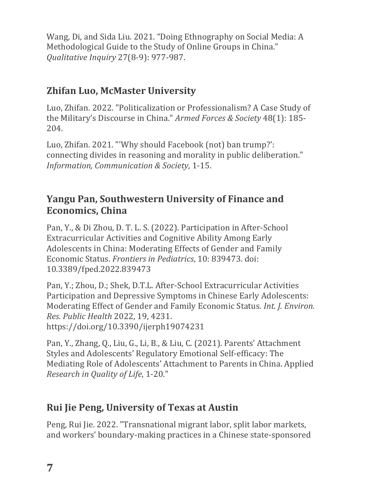Wang, Di, and Sida Liu. 2021. "Doing Ethnography on Social Media: A Methodological Guide to the Study of Online Groups in China." *Qualitative Inquiry* 27(8-9): 977-987.

### **Zhifan Luo, McMaster University**

Luo, Zhifan. 2022. "Politicalization or Professionalism? A Case Study of the Military's Discourse in China." *Armed Forces & Society* 48(1): 185-204.

Luo, Zhifan. 2021. "'Why should Facebook (not) ban trump?': connecting divides in reasoning and morality in public deliberation." *Information, Communication & Society, 1-15.* 

#### **Yangu Pan, Southwestern University of Finance and Economics, China**

Pan, Y., & Di Zhou, D. T. L. S. (2022). Participation in After-School Extracurricular Activities and Cognitive Ability Among Early Adolescents in China: Moderating Effects of Gender and Family Economic Status. *Frontiers in Pediatrics*, 10: 839473. doi: 10.3389/fped.2022.839473

Pan, Y.; Zhou, D.; Shek, D.T.L. After-School Extracurricular Activities Participation and Depressive Symptoms in Chinese Early Adolescents: Moderating Effect of Gender and Family Economic Status. *Int. J. Environ. Res. Public Health* 2022, 19, 4231. https://doi.org/10.3390/ijerph19074231

Pan, Y., Zhang, Q., Liu, G., Li, B., & Liu, C. (2021). Parents' Attachment Styles and Adolescents' Regulatory Emotional Self-efficacy: The Mediating Role of Adolescents' Attachment to Parents in China. Applied *Research in Ouality of Life, 1-20."* 

### **Rui Jie Peng, University of Texas at Austin**

Peng, Rui Jie. 2022. "Transnational migrant labor, split labor markets, and workers' boundary-making practices in a Chinese state-sponsored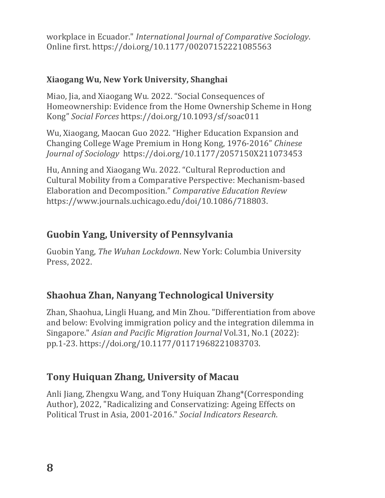workplace in Ecuador." *International Journal of Comparative Sociology*. Online first. https://doi.org/10.1177/00207152221085563

#### **Xiaogang Wu, New York University, Shanghai**

Miao, Jia, and Xiaogang Wu. 2022. "Social Consequences of Homeownership: Evidence from the Home Ownership Scheme in Hong Kong" *Social Forces* https://doi.org/10.1093/sf/soac011

Wu, Xiaogang, Maocan Guo 2022. "Higher Education Expansion and Changing College Wage Premium in Hong Kong, 1976-2016" *Chinese Journal of Sociology* https://doi.org/10.1177/2057150X211073453 

Hu, Anning and Xiaogang Wu. 2022. "Cultural Reproduction and Cultural Mobility from a Comparative Perspective: Mechanism-based Elaboration and Decomposition." Comparative Education Review https://www.journals.uchicago.edu/doi/10.1086/718803.

#### **Guobin Yang, University of Pennsylvania**

Guobin Yang, *The Wuhan Lockdown*. New York: Columbia University Press, 2022.

#### **Shaohua Zhan, Nanyang Technological University**

Zhan, Shaohua, Lingli Huang, and Min Zhou. "Differentiation from above and below: Evolving immigration policy and the integration dilemma in Singapore." *Asian and Pacific Migration Journal* Vol.31, No.1 (2022): pp.1-23. https://doi.org/10.1177/01171968221083703.

#### **Tony Huiquan Zhang, University of Macau**

Anli Jiang, Zhengxu Wang, and Tony Huiquan Zhang\*(Corresponding Author), 2022, "Radicalizing and Conservatizing: Ageing Effects on Political Trust in Asia, 2001-2016." Social Indicators Research.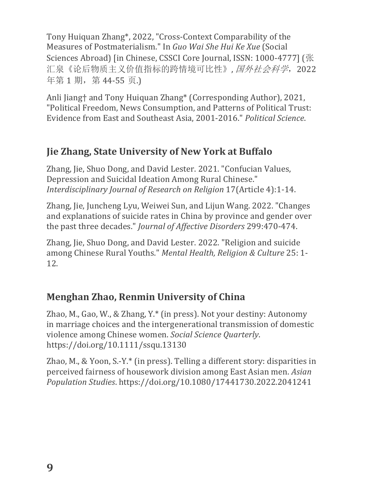Tony Huiquan Zhang\*, 2022, "Cross-Context Comparability of the Measures of Postmaterialism." In *Guo Wai She Hui Ke Xue* (Social Sciences Abroad) [in Chinese, CSSCI Core Journal, ISSN: 1000-4777] (张 汇泉《论后物质主义价值指标的跨情境可比性》, 国外社会科学, 2022 年第1期, 第44-55页.

Anli Jiang† and Tony Huiquan Zhang\* (Corresponding Author), 2021, "Political Freedom, News Consumption, and Patterns of Political Trust: Evidence from East and Southeast Asia, 2001-2016." *Political Science*.

#### **Jie Zhang, State University of New York at Buffalo**

Zhang, Jie, Shuo Dong, and David Lester. 2021. "Confucian Values, Depression and Suicidal Ideation Among Rural Chinese." *Interdisciplinary Journal of Research on Religion* 17(Article 4):1-14.

Zhang, Jie, Juncheng Lyu, Weiwei Sun, and Lijun Wang. 2022. "Changes and explanations of suicide rates in China by province and gender over the past three decades." *Journal of Affective Disorders* 299:470-474.

Zhang, Jie, Shuo Dong, and David Lester. 2022. "Religion and suicide among Chinese Rural Youths." *Mental Health, Religion & Culture* 25: 1-12.

#### **Menghan Zhao, Renmin University of China**

Zhao, M., Gao, W., & Zhang, Y. $*$  (in press). Not your destiny: Autonomy in marriage choices and the intergenerational transmission of domestic violence among Chinese women. *Social Science Quarterly*. https://doi.org/10.1111/ssqu.13130

Zhao, M., & Yoon, S.-Y. $*$  (in press). Telling a different story: disparities in perceived fairness of housework division among East Asian men. *Asian Population Studies*. https://doi.org/10.1080/17441730.2022.2041241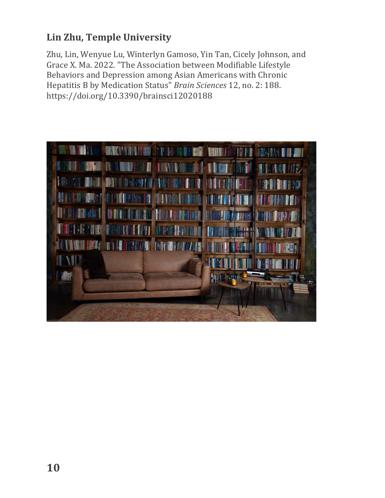### **Lin Zhu, Temple University**

Zhu, Lin, Wenyue Lu, Winterlyn Gamoso, Yin Tan, Cicely Johnson, and Grace X. Ma. 2022. "The Association between Modifiable Lifestyle Behaviors and Depression among Asian Americans with Chronic Hepatitis B by Medication Status" *Brain Sciences* 12, no. 2: 188. https://doi.org/10.3390/brainsci12020188

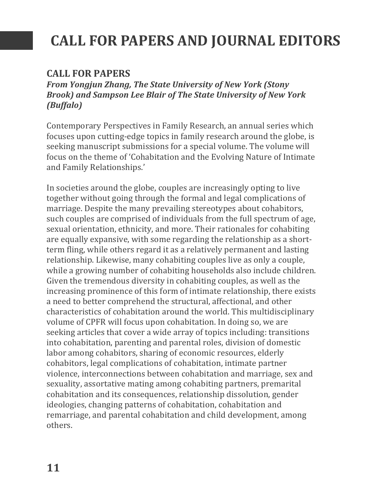# **CALL FOR PAPERS AND JOURNAL EDITORS**

#### **CALL FOR PAPERS**

From Yongjun Zhang, The State University of New York (Stony **Brook)** and Sampson Lee Blair of The State University of New York *(Buffalo)*

Contemporary Perspectives in Family Research, an annual series which focuses upon cutting-edge topics in family research around the globe, is seeking manuscript submissions for a special volume. The volume will focus on the theme of 'Cohabitation and the Evolving Nature of Intimate and Family Relationships.'

In societies around the globe, couples are increasingly opting to live together without going through the formal and legal complications of marriage. Despite the many prevailing stereotypes about cohabitors, such couples are comprised of individuals from the full spectrum of age, sexual orientation, ethnicity, and more. Their rationales for cohabiting are equally expansive, with some regarding the relationship as a shortterm fling, while others regard it as a relatively permanent and lasting relationship. Likewise, many cohabiting couples live as only a couple, while a growing number of cohabiting households also include children. Given the tremendous diversity in cohabiting couples, as well as the increasing prominence of this form of intimate relationship, there exists a need to better comprehend the structural, affectional, and other characteristics of cohabitation around the world. This multidisciplinary volume of CPFR will focus upon cohabitation. In doing so, we are seeking articles that cover a wide array of topics including: transitions into cohabitation, parenting and parental roles, division of domestic labor among cohabitors, sharing of economic resources, elderly cohabitors, legal complications of cohabitation, intimate partner violence, interconnections between cohabitation and marriage, sex and sexuality, assortative mating among cohabiting partners, premarital cohabitation and its consequences, relationship dissolution, gender ideologies, changing patterns of cohabitation, cohabitation and remarriage, and parental cohabitation and child development, among others.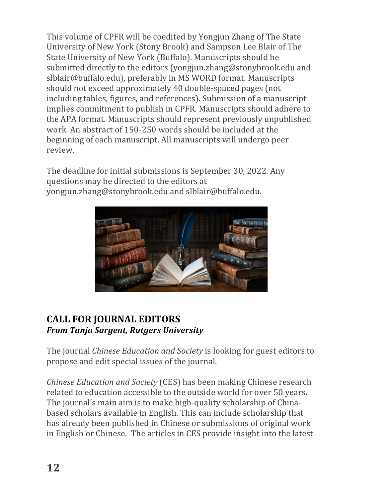This volume of CPFR will be coedited by Yongjun Zhang of The State University of New York (Stony Brook) and Sampson Lee Blair of The State University of New York (Buffalo). Manuscripts should be submitted directly to the editors (yongjun.zhang@stonybrook.edu and slblair@buffalo.edu), preferably in MS WORD format. Manuscripts should not exceed approximately 40 double-spaced pages (not including tables, figures, and references). Submission of a manuscript implies commitment to publish in CPFR. Manuscripts should adhere to the APA format. Manuscripts should represent previously unpublished work. An abstract of 150-250 words should be included at the beginning of each manuscript. All manuscripts will undergo peer review.

The deadline for initial submissions is September 30, 2022. Any questions may be directed to the editors at yongjun.zhang@stonybrook.edu and slblair@buffalo.edu.



#### **CALL FOR JOURNAL EDITORS** *From Tanja Sargent, Rutgers University*

The journal *Chinese Education and Society* is looking for guest editors to propose and edit special issues of the journal.

*Chinese Education and Society* (CES) has been making Chinese research related to education accessible to the outside world for over 50 years. The journal's main aim is to make high-quality scholarship of Chinabased scholars available in English. This can include scholarship that has already been published in Chinese or submissions of original work in English or Chinese. The articles in CES provide insight into the latest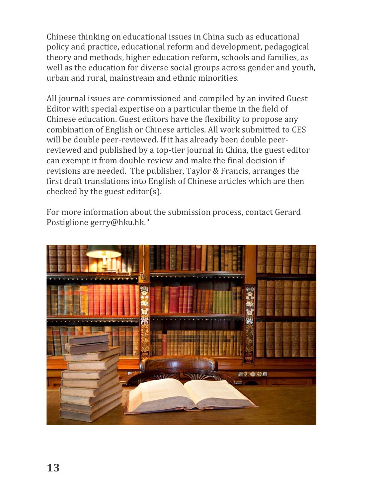Chinese thinking on educational issues in China such as educational policy and practice, educational reform and development, pedagogical theory and methods, higher education reform, schools and families, as well as the education for diverse social groups across gender and youth, urban and rural, mainstream and ethnic minorities.

All journal issues are commissioned and compiled by an invited Guest Editor with special expertise on a particular theme in the field of Chinese education. Guest editors have the flexibility to propose any combination of English or Chinese articles. All work submitted to CES will be double peer-reviewed. If it has already been double peerreviewed and published by a top-tier journal in China, the guest editor can exempt it from double review and make the final decision if revisions are needed. The publisher, Taylor & Francis, arranges the first draft translations into English of Chinese articles which are then checked by the guest editor(s).

For more information about the submission process, contact Gerard Postiglione gerry@hku.hk."

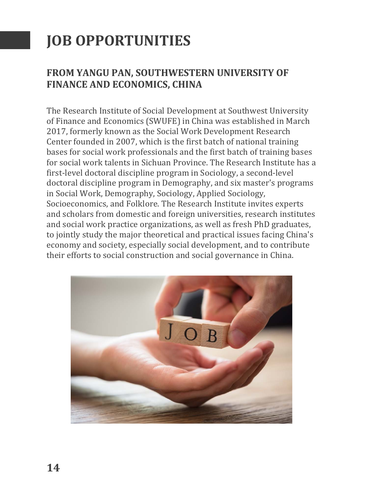# **JOB OPPORTUNITIES**

#### **FROM YANGU PAN, SOUTHWESTERN UNIVERSITY OF FINANCE AND ECONOMICS, CHINA**

The Research Institute of Social Development at Southwest University of Finance and Economics (SWUFE) in China was established in March 2017, formerly known as the Social Work Development Research Center founded in 2007, which is the first batch of national training bases for social work professionals and the first batch of training bases for social work talents in Sichuan Province. The Research Institute has a first-level doctoral discipline program in Sociology, a second-level doctoral discipline program in Demography, and six master's programs in Social Work, Demography, Sociology, Applied Sociology, Socioeconomics, and Folklore. The Research Institute invites experts and scholars from domestic and foreign universities, research institutes and social work practice organizations, as well as fresh PhD graduates, to jointly study the major theoretical and practical issues facing China's economy and society, especially social development, and to contribute their efforts to social construction and social governance in China.